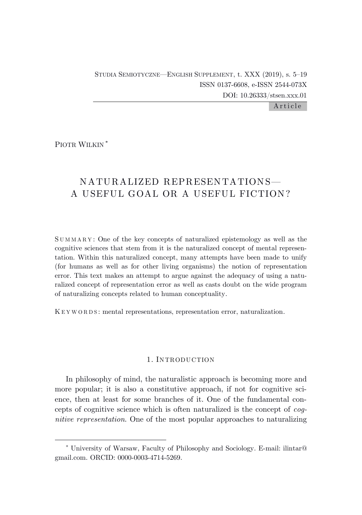Article

PIOTR WILKIN \*

# NATURALIZED REPRESENTATIONS— A USEFUL GOAL OR A USEFUL FICTION?

S U M M A R Y : One of the key concepts of naturalized epistemology as well as the cognitive sciences that stem from it is the naturalized concept of mental representation. Within this naturalized concept, many attempts have been made to unify (for humans as well as for other living organisms) the notion of representation error. This text makes an attempt to argue against the adequacy of using a naturalized concept of representation error as well as casts doubt on the wide program of naturalizing concepts related to human conceptuality.

K E Y W O R D S : mental representations, representation error, naturalization.

# 1. INTRODUCTION

In philosophy of mind, the naturalistic approach is becoming more and more popular; it is also a constitutive approach, if not for cognitive science, then at least for some branches of it. One of the fundamental concepts of cognitive science which is often naturalized is the concept of *cognitive representation*. One of the most popular approaches to naturalizing

<sup>\*</sup> University of Warsaw, Faculty of Philosophy and Sociology. E-mail: ilintar@ gmail.com. ORCID: 0000-0003-4714-5269.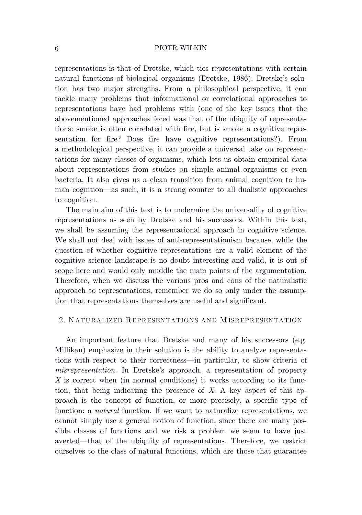representations is that of Dretske, which ties representations with certain natural functions of biological organisms (Dretske, 1986). Dretske's solution has two major strengths. From a philosophical perspective, it can tackle many problems that informational or correlational approaches to representations have had problems with (one of the key issues that the abovementioned approaches faced was that of the ubiquity of representations: smoke is often correlated with fire, but is smoke a cognitive representation for fire? Does fire have cognitive representations?). From a methodological perspective, it can provide a universal take on representations for many classes of organisms, which lets us obtain empirical data about representations from studies on simple animal organisms or even bacteria. It also gives us a clean transition from animal cognition to human cognition—as such, it is a strong counter to all dualistic approaches to cognition.

The main aim of this text is to undermine the universality of cognitive representations as seen by Dretske and his successors. Within this text, we shall be assuming the representational approach in cognitive science. We shall not deal with issues of anti-representationism because, while the question of whether cognitive representations are a valid element of the cognitive science landscape is no doubt interesting and valid, it is out of scope here and would only muddle the main points of the argumentation. Therefore, when we discuss the various pros and cons of the naturalistic approach to representations, remember we do so only under the assumption that representations themselves are useful and significant.

# 2. N ATURALIZED REPRESENTATIONS AND M ISREPRESENTATION

An important feature that Dretske and many of his successors (e.g. Millikan) emphasize in their solution is the ability to analyze representations with respect to their correctness—in particular, to show criteria of *misrepresentation*. In Dretske's approach, a representation of property *X* is correct when (in normal conditions) it works according to its function, that being indicating the presence of *X*. A key aspect of this approach is the concept of function, or more precisely, a specific type of function: a *natural* function. If we want to naturalize representations, we cannot simply use a general notion of function, since there are many possible classes of functions and we risk a problem we seem to have just averted—that of the ubiquity of representations. Therefore, we restrict ourselves to the class of natural functions, which are those that guarantee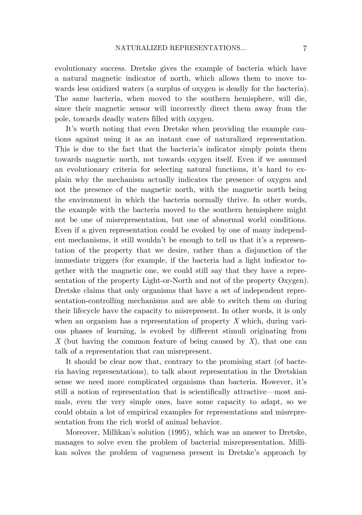evolutionary success. Dretske gives the example of bacteria which have a natural magnetic indicator of north, which allows them to move towards less oxidized waters (a surplus of oxygen is deadly for the bacteria). The same bacteria, when moved to the southern hemisphere, will die, since their magnetic sensor will incorrectly direct them away from the pole, towards deadly waters filled with oxygen.

It's worth noting that even Dretske when providing the example cautions against using it as an instant case of naturalized representation. This is due to the fact that the bacteria's indicator simply points them towards magnetic north, not towards oxygen itself. Even if we assumed an evolutionary criteria for selecting natural functions, it's hard to explain why the mechanism actually indicates the presence of oxygen and not the presence of the magnetic north, with the magnetic north being the environment in which the bacteria normally thrive. In other words, the example with the bacteria moved to the southern hemisphere might not be one of misrepresentation, but one of abnormal world conditions. Even if a given representation could be evoked by one of many independent mechanisms, it still wouldn't be enough to tell us that it's a representation of the property that we desire, rather than a disjunction of the immediate triggers (for example, if the bacteria had a light indicator together with the magnetic one, we could still say that they have a representation of the property Light-or-North and not of the property Oxygen). Dretske claims that only organisms that have a set of independent representation-controlling mechanisms and are able to switch them on during their lifecycle have the capacity to misrepresent. In other words, it is only when an organism has a representation of property *X* which, during various phases of learning, is evoked by different stimuli originating from *X* (but having the common feature of being caused by *X*), that one can talk of a representation that can misrepresent.

It should be clear now that, contrary to the promising start (of bacteria having representations), to talk about representation in the Dretskian sense we need more complicated organisms than bacteria. However, it's still a notion of representation that is scientifically attractive—most animals, even the very simple ones, have some capacity to adapt, so we could obtain a lot of empirical examples for representations and misrepresentation from the rich world of animal behavior.

Moreover, Millikan's solution (1995), which was an answer to Dretske, manages to solve even the problem of bacterial misrepresentation. Millikan solves the problem of vagueness present in Dretske's approach by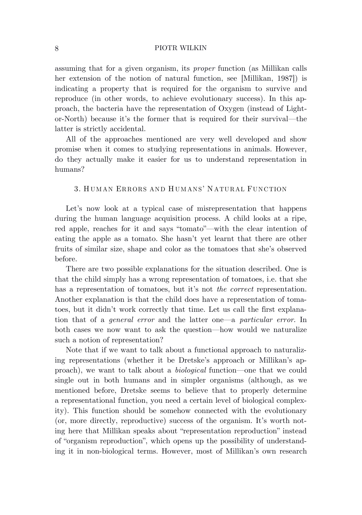assuming that for a given organism, its *proper* function (as Millikan calls her extension of the notion of natural function, see [Millikan, 1987]) is indicating a property that is required for the organism to survive and reproduce (in other words, to achieve evolutionary success). In this approach, the bacteria have the representation of Oxygen (instead of Lightor-North) because it's the former that is required for their survival—the latter is strictly accidental.

All of the approaches mentioned are very well developed and show promise when it comes to studying representations in animals. However, do they actually make it easier for us to understand representation in humans?

## 3. H UM AN ERRORS AND H UM ANS' N ATURAL FUNCTION

Let's now look at a typical case of misrepresentation that happens during the human language acquisition process. A child looks at a ripe, red apple, reaches for it and says "tomato"—with the clear intention of eating the apple as a tomato. She hasn't yet learnt that there are other fruits of similar size, shape and color as the tomatoes that she's observed before.

There are two possible explanations for the situation described. One is that the child simply has a wrong representation of tomatoes, i.e. that she has a representation of tomatoes, but it's not *the correct* representation. Another explanation is that the child does have a representation of tomatoes, but it didn't work correctly that time. Let us call the first explanation that of a *general error* and the latter one—a *particular error*. In both cases we now want to ask the question—how would we naturalize such a notion of representation?

Note that if we want to talk about a functional approach to naturalizing representations (whether it be Dretske's approach or Millikan's approach), we want to talk about a *biological* function—one that we could single out in both humans and in simpler organisms (although, as we mentioned before, Dretske seems to believe that to properly determine a representational function, you need a certain level of biological complexity). This function should be somehow connected with the evolutionary (or, more directly, reproductive) success of the organism. It's worth noting here that Millikan speaks about "representation reproduction" instead of "organism reproduction", which opens up the possibility of understanding it in non-biological terms. However, most of Millikan's own research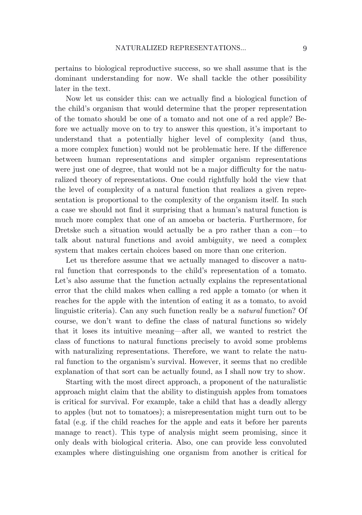pertains to biological reproductive success, so we shall assume that is the dominant understanding for now. We shall tackle the other possibility later in the text.

Now let us consider this: can we actually find a biological function of the child's organism that would determine that the proper representation of the tomato should be one of a tomato and not one of a red apple? Before we actually move on to try to answer this question, it's important to understand that a potentially higher level of complexity (and thus, a more complex function) would not be problematic here. If the difference between human representations and simpler organism representations were just one of degree, that would not be a major difficulty for the naturalized theory of representations. One could rightfully hold the view that the level of complexity of a natural function that realizes a given representation is proportional to the complexity of the organism itself. In such a case we should not find it surprising that a human's natural function is much more complex that one of an amoeba or bacteria. Furthermore, for Dretske such a situation would actually be a pro rather than a con—to talk about natural functions and avoid ambiguity, we need a complex system that makes certain choices based on more than one criterion.

Let us therefore assume that we actually managed to discover a natural function that corresponds to the child's representation of a tomato. Let's also assume that the function actually explains the representational error that the child makes when calling a red apple a tomato (or when it reaches for the apple with the intention of eating it as a tomato, to avoid linguistic criteria). Can any such function really be a *natural* function? Of course, we don't want to define the class of natural functions so widely that it loses its intuitive meaning—after all, we wanted to restrict the class of functions to natural functions precisely to avoid some problems with naturalizing representations. Therefore, we want to relate the natural function to the organism's survival. However, it seems that no credible explanation of that sort can be actually found, as I shall now try to show.

Starting with the most direct approach, a proponent of the naturalistic approach might claim that the ability to distinguish apples from tomatoes is critical for survival. For example, take a child that has a deadly allergy to apples (but not to tomatoes); a misrepresentation might turn out to be fatal (e.g. if the child reaches for the apple and eats it before her parents manage to react). This type of analysis might seem promising, since it only deals with biological criteria. Also, one can provide less convoluted examples where distinguishing one organism from another is critical for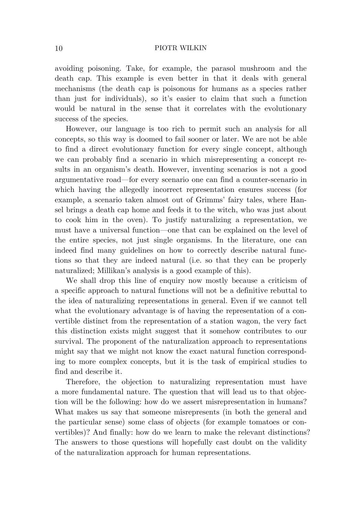avoiding poisoning. Take, for example, the parasol mushroom and the death cap. This example is even better in that it deals with general mechanisms (the death cap is poisonous for humans as a species rather than just for individuals), so it's easier to claim that such a function would be natural in the sense that it correlates with the evolutionary success of the species.

However, our language is too rich to permit such an analysis for all concepts, so this way is doomed to fail sooner or later. We are not be able to find a direct evolutionary function for every single concept, although we can probably find a scenario in which misrepresenting a concept results in an organism's death. However, inventing scenarios is not a good argumentative road—for every scenario one can find a counter-scenario in which having the allegedly incorrect representation ensures success (for example, a scenario taken almost out of Grimms' fairy tales, where Hansel brings a death cap home and feeds it to the witch, who was just about to cook him in the oven). To justify naturalizing a representation, we must have a universal function—one that can be explained on the level of the entire species, not just single organisms. In the literature, one can indeed find many guidelines on how to correctly describe natural functions so that they are indeed natural (i.e. so that they can be properly naturalized; Millikan's analysis is a good example of this).

We shall drop this line of enquiry now mostly because a criticism of a specific approach to natural functions will not be a definitive rebuttal to the idea of naturalizing representations in general. Even if we cannot tell what the evolutionary advantage is of having the representation of a convertible distinct from the representation of a station wagon, the very fact this distinction exists might suggest that it somehow contributes to our survival. The proponent of the naturalization approach to representations might say that we might not know the exact natural function corresponding to more complex concepts, but it is the task of empirical studies to find and describe it.

Therefore, the objection to naturalizing representation must have a more fundamental nature. The question that will lead us to that objection will be the following: how do we assert misrepresentation in humans? What makes us say that someone misrepresents (in both the general and the particular sense) some class of objects (for example tomatoes or convertibles)? And finally: how do we learn to make the relevant distinctions? The answers to those questions will hopefully cast doubt on the validity of the naturalization approach for human representations.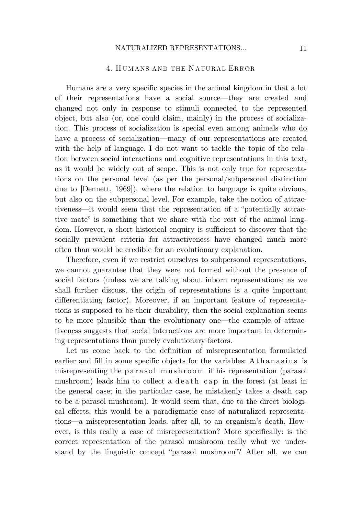## 4. H UM ANS AND THE N ATURAL ERROR

Humans are a very specific species in the animal kingdom in that a lot of their representations have a social source—they are created and changed not only in response to stimuli connected to the represented object, but also (or, one could claim, mainly) in the process of socialization. This process of socialization is special even among animals who do have a process of socialization—many of our representations are created with the help of language. I do not want to tackle the topic of the relation between social interactions and cognitive representations in this text, as it would be widely out of scope. This is not only true for representations on the personal level (as per the personal/subpersonal distinction due to [Dennett, 1969]), where the relation to language is quite obvious, but also on the subpersonal level. For example, take the notion of attractiveness—it would seem that the representation of a "potentially attractive mate" is something that we share with the rest of the animal kingdom. However, a short historical enquiry is sufficient to discover that the socially prevalent criteria for attractiveness have changed much more often than would be credible for an evolutionary explanation.

Therefore, even if we restrict ourselves to subpersonal representations, we cannot guarantee that they were not formed without the presence of social factors (unless we are talking about inborn representations; as we shall further discuss, the origin of representations is a quite important differentiating factor). Moreover, if an important feature of representations is supposed to be their durability, then the social explanation seems to be more plausible than the evolutionary one—the example of attractiveness suggests that social interactions are more important in determining representations than purely evolutionary factors.

Let us come back to the definition of misrepresentation formulated earlier and fill in some specific objects for the variables: Athanasius is misrepresenting the parasol mushroom if his representation (parasol mushroom) leads him to collect a death cap in the forest (at least in the general case; in the particular case, he mistakenly takes a death cap to be a parasol mushroom). It would seem that, due to the direct biological effects, this would be a paradigmatic case of naturalized representations—a misrepresentation leads, after all, to an organism's death. However, is this really a case of misrepresentation? More specifically: is the correct representation of the parasol mushroom really what we understand by the linguistic concept "parasol mushroom"? After all, we can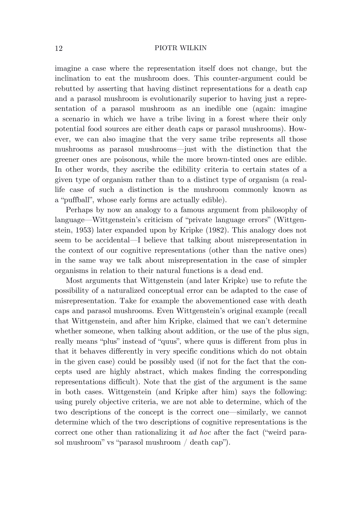imagine a case where the representation itself does not change, but the inclination to eat the mushroom does. This counter-argument could be rebutted by asserting that having distinct representations for a death cap and a parasol mushroom is evolutionarily superior to having just a representation of a parasol mushroom as an inedible one (again: imagine a scenario in which we have a tribe living in a forest where their only potential food sources are either death caps or parasol mushrooms). However, we can also imagine that the very same tribe represents all those mushrooms as parasol mushrooms—just with the distinction that the greener ones are poisonous, while the more brown-tinted ones are edible. In other words, they ascribe the edibility criteria to certain states of a given type of organism rather than to a distinct type of organism (a reallife case of such a distinction is the mushroom commonly known as a "puffball", whose early forms are actually edible).

Perhaps by now an analogy to a famous argument from philosophy of language—Wittgenstein's criticism of "private language errors" (Wittgenstein, 1953) later expanded upon by Kripke (1982). This analogy does not seem to be accidental—I believe that talking about misrepresentation in the context of our cognitive representations (other than the native ones) in the same way we talk about misrepresentation in the case of simpler organisms in relation to their natural functions is a dead end.

Most arguments that Wittgenstein (and later Kripke) use to refute the possibility of a naturalized conceptual error can be adapted to the case of misrepresentation. Take for example the abovementioned case with death caps and parasol mushrooms. Even Wittgenstein's original example (recall that Wittgenstein, and after him Kripke, claimed that we can't determine whether someone, when talking about addition, or the use of the plus sign, really means "plus" instead of "quus", where quus is different from plus in that it behaves differently in very specific conditions which do not obtain in the given case) could be possibly used (if not for the fact that the concepts used are highly abstract, which makes finding the corresponding representations difficult). Note that the gist of the argument is the same in both cases. Wittgenstein (and Kripke after him) says the following: using purely objective criteria, we are not able to determine, which of the two descriptions of the concept is the correct one—similarly, we cannot determine which of the two descriptions of cognitive representations is the correct one other than rationalizing it *ad hoc* after the fact ("weird parasol mushroom" vs "parasol mushroom / death cap").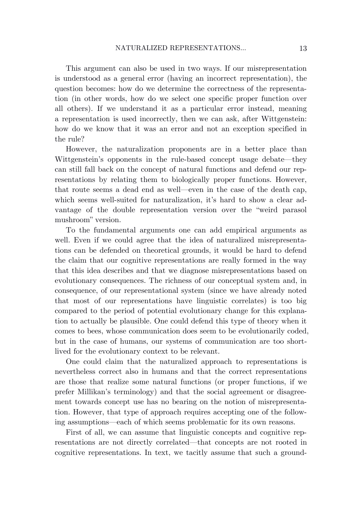This argument can also be used in two ways. If our misrepresentation is understood as a general error (having an incorrect representation), the question becomes: how do we determine the correctness of the representation (in other words, how do we select one specific proper function over all others). If we understand it as a particular error instead, meaning a representation is used incorrectly, then we can ask, after Wittgenstein: how do we know that it was an error and not an exception specified in the rule?

However, the naturalization proponents are in a better place than Wittgenstein's opponents in the rule-based concept usage debate—they can still fall back on the concept of natural functions and defend our representations by relating them to biologically proper functions. However, that route seems a dead end as well—even in the case of the death cap, which seems well-suited for naturalization, it's hard to show a clear advantage of the double representation version over the "weird parasol mushroom" version.

To the fundamental arguments one can add empirical arguments as well. Even if we could agree that the idea of naturalized misrepresentations can be defended on theoretical grounds, it would be hard to defend the claim that our cognitive representations are really formed in the way that this idea describes and that we diagnose misrepresentations based on evolutionary consequences. The richness of our conceptual system and, in consequence, of our representational system (since we have already noted that most of our representations have linguistic correlates) is too big compared to the period of potential evolutionary change for this explanation to actually be plausible. One could defend this type of theory when it comes to bees, whose communication does seem to be evolutionarily coded, but in the case of humans, our systems of communication are too shortlived for the evolutionary context to be relevant.

One could claim that the naturalized approach to representations is nevertheless correct also in humans and that the correct representations are those that realize some natural functions (or proper functions, if we prefer Millikan's terminology) and that the social agreement or disagreement towards concept use has no bearing on the notion of misrepresentation. However, that type of approach requires accepting one of the following assumptions—each of which seems problematic for its own reasons.

First of all, we can assume that linguistic concepts and cognitive representations are not directly correlated—that concepts are not rooted in cognitive representations. In text, we tacitly assume that such a ground-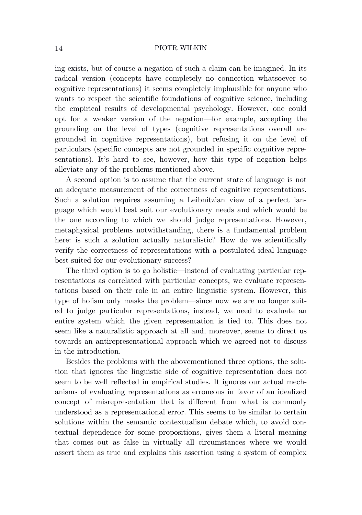ing exists, but of course a negation of such a claim can be imagined. In its radical version (concepts have completely no connection whatsoever to cognitive representations) it seems completely implausible for anyone who wants to respect the scientific foundations of cognitive science, including the empirical results of developmental psychology. However, one could opt for a weaker version of the negation—for example, accepting the grounding on the level of types (cognitive representations overall are grounded in cognitive representations), but refusing it on the level of particulars (specific concepts are not grounded in specific cognitive representations). It's hard to see, however, how this type of negation helps alleviate any of the problems mentioned above.

A second option is to assume that the current state of language is not an adequate measurement of the correctness of cognitive representations. Such a solution requires assuming a Leibnitzian view of a perfect language which would best suit our evolutionary needs and which would be the one according to which we should judge representations. However, metaphysical problems notwithstanding, there is a fundamental problem here: is such a solution actually naturalistic? How do we scientifically verify the correctness of representations with a postulated ideal language best suited for our evolutionary success?

The third option is to go holistic—instead of evaluating particular representations as correlated with particular concepts, we evaluate representations based on their role in an entire linguistic system. However, this type of holism only masks the problem—since now we are no longer suited to judge particular representations, instead, we need to evaluate an entire system which the given representation is tied to. This does not seem like a naturalistic approach at all and, moreover, seems to direct us towards an antirepresentational approach which we agreed not to discuss in the introduction.

Besides the problems with the abovementioned three options, the solution that ignores the linguistic side of cognitive representation does not seem to be well reflected in empirical studies. It ignores our actual mechanisms of evaluating representations as erroneous in favor of an idealized concept of misrepresentation that is different from what is commonly understood as a representational error. This seems to be similar to certain solutions within the semantic contextualism debate which, to avoid contextual dependence for some propositions, gives them a literal meaning that comes out as false in virtually all circumstances where we would assert them as true and explains this assertion using a system of complex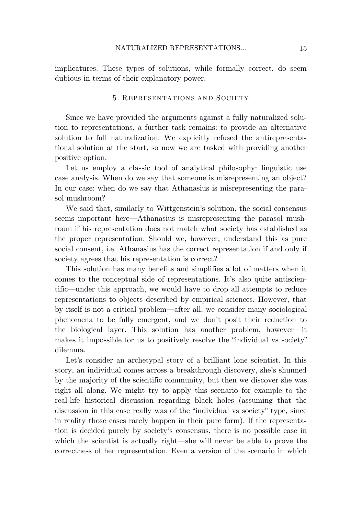implicatures. These types of solutions, while formally correct, do seem dubious in terms of their explanatory power.

# 5. REPRESENTATIONS AND SOCIETY

Since we have provided the arguments against a fully naturalized solution to representations, a further task remains: to provide an alternative solution to full naturalization. We explicitly refused the antirepresentational solution at the start, so now we are tasked with providing another positive option.

Let us employ a classic tool of analytical philosophy: linguistic use case analysis. When do we say that someone is misrepresenting an object? In our case: when do we say that Athanasius is misrepresenting the parasol mushroom?

We said that, similarly to Wittgenstein's solution, the social consensus seems important here—Athanasius is misrepresenting the parasol mushroom if his representation does not match what society has established as the proper representation. Should we, however, understand this as pure social consent, i.e. Athanasius has the correct representation if and only if society agrees that his representation is correct?

This solution has many benefits and simplifies a lot of matters when it comes to the conceptual side of representations. It's also quite antiscientific—under this approach, we would have to drop all attempts to reduce representations to objects described by empirical sciences. However, that by itself is not a critical problem—after all, we consider many sociological phenomena to be fully emergent, and we don't posit their reduction to the biological layer. This solution has another problem, however—it makes it impossible for us to positively resolve the "individual vs society" dilemma.

Let's consider an archetypal story of a brilliant lone scientist. In this story, an individual comes across a breakthrough discovery, she's shunned by the majority of the scientific community, but then we discover she was right all along. We might try to apply this scenario for example to the real-life historical discussion regarding black holes (assuming that the discussion in this case really was of the "individual vs society" type, since in reality those cases rarely happen in their pure form). If the representation is decided purely by society's consensus, there is no possible case in which the scientist is actually right—she will never be able to prove the correctness of her representation. Even a version of the scenario in which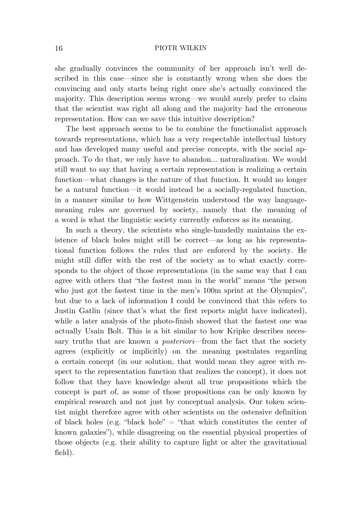she gradually convinces the community of her approach isn't well described in this case—since she is constantly wrong when she does the convincing and only starts being right once she's actually convinced the majority. This description seems wrong—we would surely prefer to claim that the scientist was right all along and the majority had the erroneous representation. How can we save this intuitive description?

The best approach seems to be to combine the functionalist approach towards representations, which has a very respectable intellectual history and has developed many useful and precise concepts, with the social approach. To do that, we only have to abandon… naturalization. We would still want to say that having a certain representation is realizing a certain function—what changes is the nature of that function. It would no longer be a natural function—it would instead be a socially-regulated function, in a manner similar to how Wittgenstein understood the way languagemeaning rules are governed by society, namely that the meaning of a word is what the linguistic society currently enforces as its meaning.

In such a theory, the scientists who single-handedly maintains the existence of black holes might still be correct—as long as his representational function follows the rules that are enforced by the society. He might still differ with the rest of the society as to what exactly corresponds to the object of those representations (in the same way that I can agree with others that "the fastest man in the world" means "the person who just got the fastest time in the men's 100m sprint at the Olympics", but due to a lack of information I could be convinced that this refers to Justin Gatlin (since that's what the first reports might have indicated), while a later analysis of the photo-finish showed that the fastest one was actually Usain Bolt. This is a bit similar to how Kripke describes necessary truths that are known *a posteriori*—from the fact that the society agrees (explicitly or implicitly) on the meaning postulates regarding a certain concept (in our solution, that would mean they agree with respect to the representation function that realizes the concept), it does not follow that they have knowledge about all true propositions which the concept is part of, as some of those propositions can be only known by empirical research and not just by conceptual analysis. Our token scientist might therefore agree with other scientists on the ostensive definition of black holes (e.g. "black hole"  $=$  "that which constitutes the center of known galaxies"), while disagreeing on the essential physical properties of those objects (e.g. their ability to capture light or alter the gravitational field).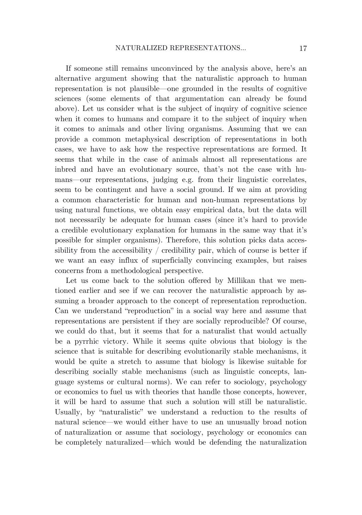If someone still remains unconvinced by the analysis above, here's an alternative argument showing that the naturalistic approach to human representation is not plausible—one grounded in the results of cognitive sciences (some elements of that argumentation can already be found above). Let us consider what is the subject of inquiry of cognitive science when it comes to humans and compare it to the subject of inquiry when it comes to animals and other living organisms. Assuming that we can provide a common metaphysical description of representations in both cases, we have to ask how the respective representations are formed. It seems that while in the case of animals almost all representations are inbred and have an evolutionary source, that's not the case with humans—our representations, judging e.g. from their linguistic correlates, seem to be contingent and have a social ground. If we aim at providing a common characteristic for human and non-human representations by using natural functions, we obtain easy empirical data, but the data will not necessarily be adequate for human cases (since it's hard to provide a credible evolutionary explanation for humans in the same way that it's possible for simpler organisms). Therefore, this solution picks data accessibility from the accessibility  $/$  credibility pair, which of course is better if we want an easy influx of superficially convincing examples, but raises concerns from a methodological perspective.

Let us come back to the solution offered by Millikan that we mentioned earlier and see if we can recover the naturalistic approach by assuming a broader approach to the concept of representation reproduction. Can we understand "reproduction" in a social way here and assume that representations are persistent if they are socially reproducible? Of course, we could do that, but it seems that for a naturalist that would actually be a pyrrhic victory. While it seems quite obvious that biology is the science that is suitable for describing evolutionarily stable mechanisms, it would be quite a stretch to assume that biology is likewise suitable for describing socially stable mechanisms (such as linguistic concepts, language systems or cultural norms). We can refer to sociology, psychology or economics to fuel us with theories that handle those concepts, however, it will be hard to assume that such a solution will still be naturalistic. Usually, by "naturalistic" we understand a reduction to the results of natural science—we would either have to use an unusually broad notion of naturalization or assume that sociology, psychology or economics can be completely naturalized—which would be defending the naturalization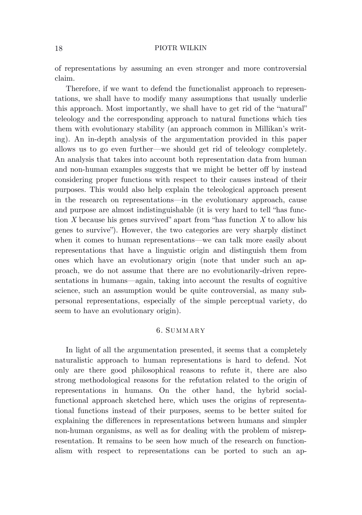of representations by assuming an even stronger and more controversial claim.

Therefore, if we want to defend the functionalist approach to representations, we shall have to modify many assumptions that usually underlie this approach. Most importantly, we shall have to get rid of the "natural" teleology and the corresponding approach to natural functions which ties them with evolutionary stability (an approach common in Millikan's writing). An in-depth analysis of the argumentation provided in this paper allows us to go even further—we should get rid of teleology completely. An analysis that takes into account both representation data from human and non-human examples suggests that we might be better off by instead considering proper functions with respect to their causes instead of their purposes. This would also help explain the teleological approach present in the research on representations—in the evolutionary approach, cause and purpose are almost indistinguishable (it is very hard to tell "has function *X* because his genes survived" apart from "has function *X* to allow his genes to survive"). However, the two categories are very sharply distinct when it comes to human representations—we can talk more easily about representations that have a linguistic origin and distinguish them from ones which have an evolutionary origin (note that under such an approach, we do not assume that there are no evolutionarily-driven representations in humans—again, taking into account the results of cognitive science, such an assumption would be quite controversial, as many subpersonal representations, especially of the simple perceptual variety, do seem to have an evolutionary origin).

## 6. SUM MARY

In light of all the argumentation presented, it seems that a completely naturalistic approach to human representations is hard to defend. Not only are there good philosophical reasons to refute it, there are also strong methodological reasons for the refutation related to the origin of representations in humans. On the other hand, the hybrid socialfunctional approach sketched here, which uses the origins of representational functions instead of their purposes, seems to be better suited for explaining the differences in representations between humans and simpler non-human organisms, as well as for dealing with the problem of misrepresentation. It remains to be seen how much of the research on functionalism with respect to representations can be ported to such an ap